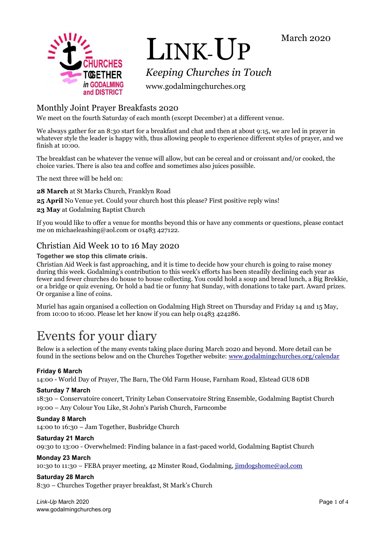



# LINK-UP

*Keeping Churches in Touch*

www.godalmingchurches.org

# Monthly Joint Prayer Breakfasts 2020

We meet on the fourth Saturday of each month (except December) at a different venue.

We always gather for an 8:30 start for a breakfast and chat and then at about 9:15, we are led in prayer in whatever style the leader is happy with, thus allowing people to experience different styles of prayer, and we finish at 10:00.

The breakfast can be whatever the venue will allow, but can be cereal and or croissant and/or cooked, the choice varies. There is also tea and coffee and sometimes also juices possible.

The next three will be held on:

**28 March** at St Marks Church, Franklyn Road

**25 April** No Venue yet. Could your church host this please? First positive reply wins!

**23 May** at Godalming Baptist Church

If you would like to offer a venue for months beyond this or have any comments or questions, please contact me on michaeleashing@aol.com or 01483 427122.

# Christian Aid Week 10 to 16 May 2020

**Together we stop this climate crisis.**

Christian Aid Week is fast approaching, and it is time to decide how your church is going to raise money during this week. Godalming's contribution to this week's efforts has been steadily declining each year as fewer and fewer churches do house to house collecting. You could hold a soup and bread lunch, a Big Brekkie, or a bridge or quiz evening. Or hold a bad tie or funny hat Sunday, with donations to take part. Award prizes. Or organise a line of coins.

Muriel has again organised a collection on Godalming High Street on Thursday and Friday 14 and 15 May, from 10:00 to 16:00. Please let her know if you can help 01483 424286.

# Events for your diary

Below is a selection of the many events taking place during March 2020 and beyond. More detail can be found in the sections below and on the Churches Together website: [www.godalmingchurches.org/calendar](http://www.godalmingchurches.org/calendar)

#### **Friday 6 March**

14:00 - World Day of Prayer, The Barn, The Old Farm House, Farnham Road, Elstead GU8 6DB

#### **Saturday 7 March**

18:30 – Conservatoire concert, Trinity Leban Conservatoire String Ensemble, Godalming Baptist Church 19:00 – Any Colour You Like, St John's Parish Church, Farncombe

**Sunday 8 March** 14:00 to 16:30 – Jam Together, Busbridge Church

#### **Saturday 21 March**

09:30 to 13:00 - Overwhelmed: Finding balance in a fast-paced world, Godalming Baptist Church

#### **Monday 23 March**

10:30 to 11:30 – FEBA prayer meeting, 42 Minster Road, Godalming, [jimdogshome@aol.com](mailto:jimdogshome@aol.com)

#### **Saturday 28 March**

8:30 – Churches Together prayer breakfast, St Mark's Church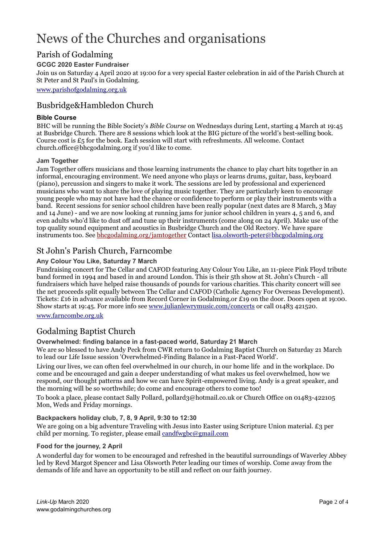# News of the Churches and organisations

# Parish of Godalming

#### **GCGC 2020 Easter Fundraiser**

Join us on Saturday 4 April 2020 at 19:00 for a very special Easter celebration in aid of the Parish Church at St Peter and St Paul's in Godalming.

[www.parishofgodalming.org.uk](http://www.parishofgodalming.org.uk/)

## Busbridge&Hambledon Church

#### **Bible Course**

BHC will be running the Bible Society's *Bible Course* on Wednesdays during Lent, starting 4 March at 19:45 at Busbridge Church. There are 8 sessions which look at the BIG picture of the world's best-selling book. Course cost is  $E_5$  for the book. Each session will start with refreshments. All welcome. Contact church.office@bhcgodalming.org if you'd like to come.

#### **Jam Together**

Jam Together offers musicians and those learning instruments the chance to play chart hits together in an informal, encouraging environment. We need anyone who plays or learns drums, guitar, bass, keyboard (piano), percussion and singers to make it work. The sessions are led by professional and experienced musicians who want to share the love of playing music together. They are particularly keen to encourage young people who may not have had the chance or confidence to perform or play their instruments with a band. Recent sessions for senior school children have been really popular (next dates are 8 March, 3 May and 14 June) - and we are now looking at running jams for junior school children in years 4, 5 and 6, and even adults who'd like to dust off and tune up their instruments (come along on 24 April). Make use of the top quality sound equipment and acoustics in Busbridge Church and the Old Rectory. We have spare instruments too. See [bhcgodalming.org/jamtogether](https://bhcgodalming.org/jamtogether) Contac[t lisa.olsworth-peter@bhcgodalming.org](mailto:lisa.olsworth-peter@bhcgodalming.org)

# St John's Parish Church, Farncombe

#### **Any Colour You Like, Saturday 7 March**

Fundraising concert for The Cellar and CAFOD featuring Any Colour You Like, an 11-piece Pink Floyd tribute band formed in 1994 and based in and around London. This is their 5th show at St. John's Church - all fundraisers which have helped raise thousands of pounds for various charities. This charity concert will see the net proceeds split equally between The Cellar and CAFOD (Catholic Agency For Overseas Development). Tickets: £16 in advance available from Record Corner in Godalming.or £19 on the door. Doors open at 19:00. Show starts at 19:45. For more info see [www.julianlewrymusic.com/concerts](http://www.julianlewrymusic.com/concerts) or call 01483 421520.

[www.farncombe.org.uk](http://www.farncombe.org.uk/)

# Godalming Baptist Church

#### **Overwhelmed: finding balance in a fast-paced world, Saturday 21 March**

We are so blessed to have Andy Peck from CWR return to Godalming Baptist Church on Saturday 21 March to lead our Life Issue session 'Overwhelmed-Finding Balance in a Fast-Paced World'.

Living our lives, we can often feel overwhelmed in our church, in our home life and in the workplace. Do come and be encouraged and gain a deeper understanding of what makes us feel overwhelmed, how we respond, our thought patterns and how we can have Spirit-empowered living. Andy is a great speaker, and the morning will be so worthwhile; do come and encourage others to come too!

To book a place, please contact Sally Pollard, pollard3@hotmail.co.uk or Church Office on 01483-422105 Mon, Weds and Friday mornings.

#### **Backpackers holiday club, 7, 8, 9 April, 9:30 to 12:30**

We are going on a big adventure Traveling with Jesus into Easter using Scripture Union material. £3 per child per morning. To register, please email [candfwgbc@gmail.com](mailto:candfwgbc@gmail.com)

#### **Food for the journey, 2 April**

A wonderful day for women to be encouraged and refreshed in the beautiful surroundings of Waverley Abbey led by Revd Margot Spencer and Lisa Olsworth Peter leading our times of worship. Come away from the demands of life and have an opportunity to be still and reflect on our faith journey.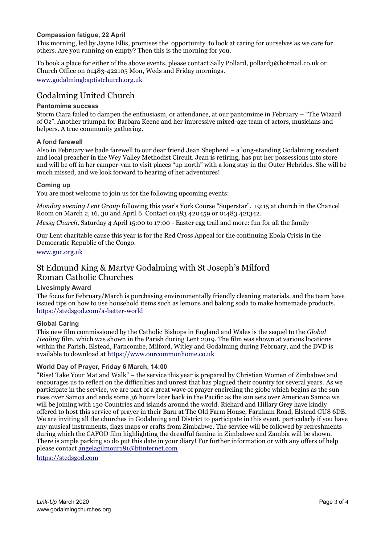#### **Compassion fatigue, 22 April**

This morning, led by Jayne Ellis, promises the opportunity to look at caring for ourselves as we care for others. Are you running on empty? Then this is the morning for you.

To book a place for either of the above events, please contact Sally Pollard, pollard3@hotmail.co.uk or Church Office on 01483-422105 Mon, Weds and Friday mornings.

[www.godalmingbaptistchurch.org.uk](http://www.godalmingbaptistchurch.org.uk/)

# Godalming United Church

#### **Pantomime success**

Storm Ciara failed to dampen the enthusiasm, or attendance, at our pantomime in February – "The Wizard of Oz". Another triumph for Barbara Keene and her impressive mixed-age team of actors, musicians and helpers. A true community gathering.

#### **A fond farewell**

Also in February we bade farewell to our dear friend Jean Shepherd – a long-standing Godalming resident and local preacher in the Wey Valley Methodist Circuit. Jean is retiring, has put her possessions into store and will be off in her camper-van to visit places "up north" with a long stay in the Outer Hebrides. She will be much missed, and we look forward to hearing of her adventures!

#### **Coming up**

You are most welcome to join us for the following upcoming events:

*Monday evening Lent Group* following this year's York Course "Superstar". 19:15 at church in the Chancel Room on March 2, 16, 30 and April 6. Contact 01483 420459 or 01483 421342.

*Messy Church*, Saturday 4 April 15:00 to 17:00 - Easter egg trail and more: fun for all the family

Our Lent charitable cause this year is for the Red Cross Appeal for the continuing Ebola Crisis in the Democratic Republic of the Congo.

#### [www.guc.org.uk](http://www.guc.org.uk/)

## St Edmund King & Martyr Godalming with St Joseph's Milford Roman Catholic Churches

#### **Livesimply Award**

The focus for February/March is purchasing environmentally friendly cleaning materials, and the team have issued tips on how to use household items such as lemons and baking soda to make homemade products. <https://stedsgod.com/a-better-world>

#### **Global Caring**

This new film commissioned by the Catholic Bishops in England and Wales is the sequel to the *Global Healing* film, which was shown in the Parish during Lent 2019. The film was shown at various locations within the Parish, Elstead, Farncombe, Milford, Witley and Godalming during February, and the DVD is available to download at [https://www.ourcommonhome.co.uk](https://www.ourcommonhome.co.uk/)

#### **World Day of Prayer, Friday 6 March, 14:00**

"Rise! Take Your Mat and Walk" – the service this year is prepared by Christian Women of Zimbabwe and encourages us to reflect on the difficulties and unrest that has plagued their country for several years. As we participate in the service, we are part of a great wave of prayer encircling the globe which begins as the sun rises over Samoa and ends some 36 hours later back in the Pacific as the sun sets over American Samoa we will be joining with 130 Countries and islands around the world. Richard and Hillary Grey have kindly offered to host this service of prayer in their Barn at The Old Farm House, Farnham Road, Elstead GU8 6DB. We are inviting all the churches in Godalming and District to participate in this event, particularly if you have any musical instruments, flags maps or crafts from Zimbabwe. The service will be followed by refreshments during which the CAFOD film highlighting the dreadful famine in Zimbabwe and Zambia will be shown. There is ample parking so do put this date in your diary! For further information or with any offers of help please contact [angelagilmour181@btinternet.com](mailto:angelagilmour181@btinternet.com)

[https://stedsgod.com](https://stedsgod.com/)